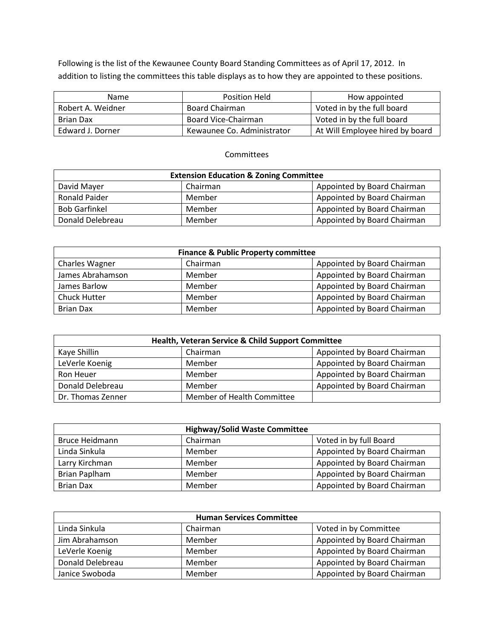Following is the list of the Kewaunee County Board Standing Committees as of April 17, 2012. In addition to listing the committees this table displays as to how they are appointed to these positions.

| Name              | Position Held              | How appointed                   |
|-------------------|----------------------------|---------------------------------|
| Robert A. Weidner | Board Chairman             | Voted in by the full board      |
| Brian Dax         | Board Vice-Chairman        | Voted in by the full board      |
| Edward J. Dorner  | Kewaunee Co. Administrator | At Will Employee hired by board |

## Committees

| <b>Extension Education &amp; Zoning Committee</b>      |        |                             |  |
|--------------------------------------------------------|--------|-----------------------------|--|
| David Mayer<br>Appointed by Board Chairman<br>Chairman |        |                             |  |
| <b>Ronald Paider</b>                                   | Member | Appointed by Board Chairman |  |
| <b>Bob Garfinkel</b>                                   | Member | Appointed by Board Chairman |  |
| Donald Delebreau                                       | Member | Appointed by Board Chairman |  |

| <b>Finance &amp; Public Property committee</b> |          |                             |
|------------------------------------------------|----------|-----------------------------|
| <b>Charles Wagner</b>                          | Chairman | Appointed by Board Chairman |
| James Abrahamson                               | Member   | Appointed by Board Chairman |
| James Barlow                                   | Member   | Appointed by Board Chairman |
| <b>Chuck Hutter</b>                            | Member   | Appointed by Board Chairman |
| <b>Brian Dax</b>                               | Member   | Appointed by Board Chairman |

| Health, Veteran Service & Child Support Committee |                            |                             |
|---------------------------------------------------|----------------------------|-----------------------------|
| Kaye Shillin                                      | Chairman                   | Appointed by Board Chairman |
| LeVerle Koenig                                    | Member                     | Appointed by Board Chairman |
| Ron Heuer                                         | Member                     | Appointed by Board Chairman |
| Donald Delebreau                                  | Member                     | Appointed by Board Chairman |
| Dr. Thomas Zenner                                 | Member of Health Committee |                             |

| <b>Highway/Solid Waste Committee</b> |          |                             |
|--------------------------------------|----------|-----------------------------|
| Bruce Heidmann                       | Chairman | Voted in by full Board      |
| Linda Sinkula                        | Member   | Appointed by Board Chairman |
| Larry Kirchman                       | Member   | Appointed by Board Chairman |
| Brian Paplham                        | Member   | Appointed by Board Chairman |
| <b>Brian Dax</b>                     | Member   | Appointed by Board Chairman |

| <b>Human Services Committee</b> |          |                             |
|---------------------------------|----------|-----------------------------|
| Linda Sinkula                   | Chairman | Voted in by Committee       |
| Jim Abrahamson                  | Member   | Appointed by Board Chairman |
| LeVerle Koenig                  | Member   | Appointed by Board Chairman |
| Donald Delebreau                | Member   | Appointed by Board Chairman |
| Janice Swoboda                  | Member   | Appointed by Board Chairman |